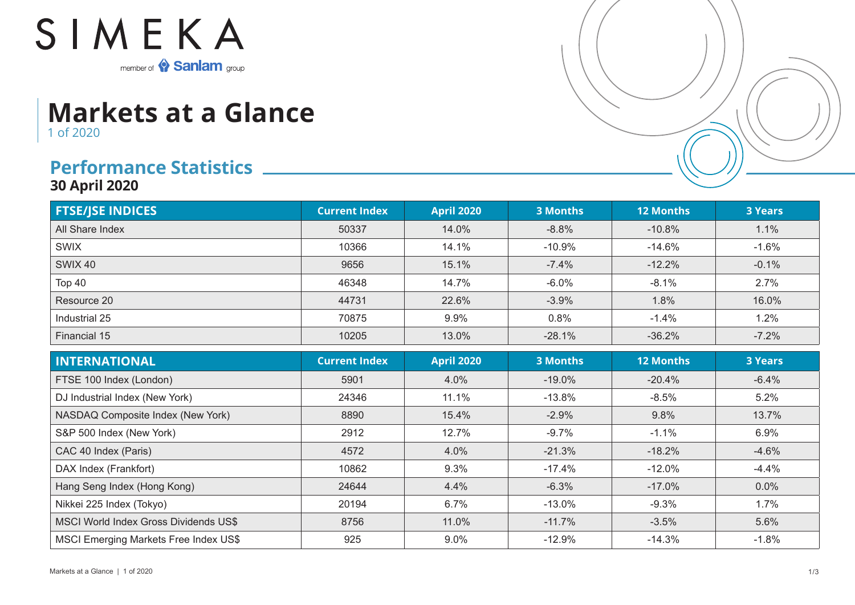

## **Markets at a Glance** 1 of 2020

## **Performance Statistics**

**30 April 2020**

| <b>FTSE/JSE INDICES</b> | <b>Current Index</b> | <b>April 2020</b> | <b>3 Months</b> | <b>12 Months</b> | <b>3 Years</b> |
|-------------------------|----------------------|-------------------|-----------------|------------------|----------------|
| All Share Index         | 50337                | 14.0%             | $-8.8%$         | $-10.8%$         | 1.1%           |
| <b>SWIX</b>             | 10366                | 14.1%             | $-10.9%$        | -14.6%           | $-1.6%$        |
| SWIX 40                 | 9656                 | 15.1%             | $-7.4%$         | $-12.2%$         | $-0.1%$        |
| Top 40                  | 46348                | 14.7%             | $-6.0%$         | $-8.1%$          | 2.7%           |
| Resource 20             | 44731                | 22.6%             | $-3.9%$         | 1.8%             | 16.0%          |
| Industrial 25           | 70875                | 9.9%              | 0.8%            | $-1.4%$          | 1.2%           |
| Financial 15            | 10205                | 13.0%             | $-28.1%$        | $-36.2%$         | $-7.2%$        |

| <b>INTERNATIONAL</b>                         | <b>Current Index</b> | <b>April 2020</b> | <b>3 Months</b> | <b>12 Months</b> | <b>3 Years</b> |
|----------------------------------------------|----------------------|-------------------|-----------------|------------------|----------------|
| FTSE 100 Index (London)                      | 5901                 | 4.0%              | $-19.0\%$       | $-20.4%$         | $-6.4%$        |
| DJ Industrial Index (New York)               | 24346                | 11.1%             | $-13.8\%$       | $-8.5%$          | 5.2%           |
| NASDAQ Composite Index (New York)            | 8890                 | 15.4%             | $-2.9%$         | 9.8%             | 13.7%          |
| S&P 500 Index (New York)                     | 2912                 | 12.7%             | $-9.7%$         | $-1.1%$          | 6.9%           |
| CAC 40 Index (Paris)                         | 4572                 | 4.0%              | $-21.3%$        | $-18.2%$         | $-4.6%$        |
| DAX Index (Frankfort)                        | 10862                | 9.3%              | $-17.4%$        | $-12.0%$         | $-4.4%$        |
| Hang Seng Index (Hong Kong)                  | 24644                | 4.4%              | $-6.3%$         | $-17.0%$         | $0.0\%$        |
| Nikkei 225 Index (Tokyo)                     | 20194                | 6.7%              | $-13.0\%$       | $-9.3%$          | 1.7%           |
| MSCI World Index Gross Dividends US\$        | 8756                 | 11.0%             | $-11.7%$        | $-3.5%$          | 5.6%           |
| <b>MSCI Emerging Markets Free Index US\$</b> | 925                  | 9.0%              | $-12.9%$        | $-14.3%$         | $-1.8\%$       |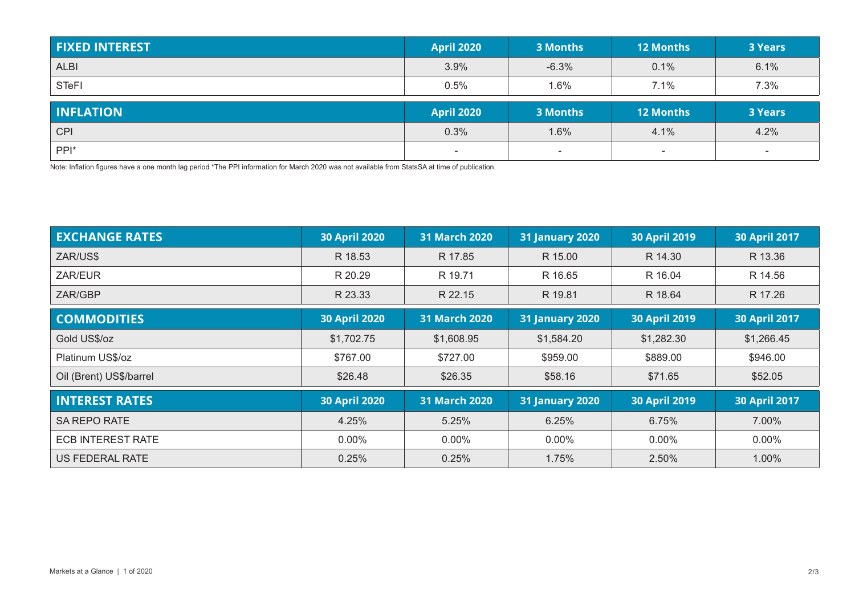| <b>FIXED INTEREST</b>          | <b>April 2020</b> | 3 Months | <b>12 Months</b> | <b>3 Years</b> |
|--------------------------------|-------------------|----------|------------------|----------------|
| <b>ALBI</b>                    | 3.9%              | $-6.3%$  | 0.1%             | 6.1%           |
| <b>STeFI</b>                   | 0.5%              | 1.6%     | 7.1%             | 7.3%           |
|                                |                   |          |                  |                |
|                                | <b>April 2020</b> | 3 Months | <b>12 Months</b> | <b>3 Years</b> |
| <b>INFLATION</b><br><b>CPI</b> | 0.3%              | 1.6%     | 4.1%             | 4.2%           |

Note: Inflation figures have a one month lag period \*The PPI information for March 2020 was not available from StatsSA at time of publication.

| <b>EXCHANGE RATES</b>    | <b>30 April 2020</b> | 31 March 2020        | <b>31 January 2020</b> | <b>30 April 2019</b> | <b>30 April 2017</b> |
|--------------------------|----------------------|----------------------|------------------------|----------------------|----------------------|
| ZAR/US\$                 | R 18.53              | R 17.85              | R 15.00                | R 14.30              | R 13.36              |
| ZAR/EUR                  | R 20.29              | R 19.71              | R 16.65                | R 16.04              | R 14.56              |
| ZAR/GBP                  | R 23.33              | R 22.15              | R 19.81                | R 18.64              | R 17.26              |
| <b>COMMODITIES</b>       | <b>30 April 2020</b> | <b>31 March 2020</b> | <b>31 January 2020</b> | <b>30 April 2019</b> | <b>30 April 2017</b> |
| Gold US\$/oz             | \$1,702.75           | \$1,608.95           | \$1,584.20             | \$1,282.30           | \$1,266.45           |
| Platinum US\$/oz         | \$767.00             | \$727.00             | \$959.00               | \$889.00             | \$946.00             |
| Oil (Brent) US\$/barrel  | \$26.48              | \$26.35              | \$58.16                | \$71.65              | \$52.05              |
| <b>INTEREST RATES</b>    | <b>30 April 2020</b> | 31 March 2020        | <b>31 January 2020</b> | <b>30 April 2019</b> | <b>30 April 2017</b> |
| <b>SA REPO RATE</b>      | 4.25%                | 5.25%                | 6.25%                  | 6.75%                | 7.00%                |
| <b>ECB INTEREST RATE</b> | $0.00\%$             | $0.00\%$             | $0.00\%$               | $0.00\%$             | $0.00\%$             |
| US FEDERAL RATE          | 0.25%                | 0.25%                | 1.75%                  | 2.50%                | 1.00%                |